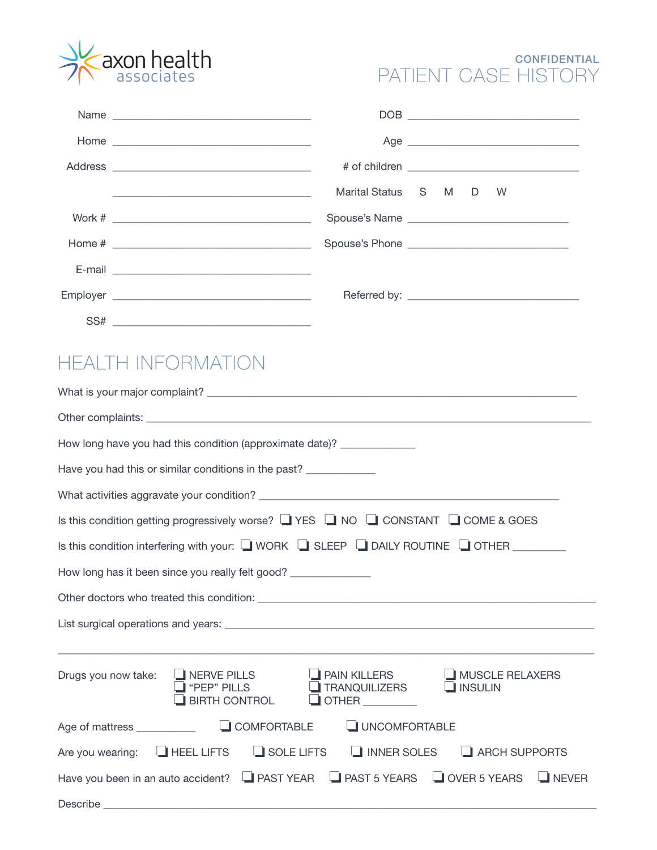

### **CONFIDENTIAL** PATIENT CASE HISTORY

| Name                                                                                                                  |                      |  |   |  |
|-----------------------------------------------------------------------------------------------------------------------|----------------------|--|---|--|
|                                                                                                                       |                      |  |   |  |
|                                                                                                                       |                      |  |   |  |
| <u> 1989 - Jan Barbara, margaret eta bainar eta baina eta baina eta baina eta baina eta baina eta baina eta baina</u> | Marital Status S M D |  | W |  |
|                                                                                                                       |                      |  |   |  |
|                                                                                                                       |                      |  |   |  |
|                                                                                                                       |                      |  |   |  |
|                                                                                                                       |                      |  |   |  |
|                                                                                                                       |                      |  |   |  |

# HEALTH INFORMATION

| How long have you had this condition (approximate date)? _____________                                                                                                                                       |  |  |  |
|--------------------------------------------------------------------------------------------------------------------------------------------------------------------------------------------------------------|--|--|--|
| Have you had this or similar conditions in the past?                                                                                                                                                         |  |  |  |
|                                                                                                                                                                                                              |  |  |  |
| Is this condition getting progressively worse? $\Box$ YES $\Box$ NO $\Box$ CONSTANT $\Box$ COME & GOES                                                                                                       |  |  |  |
| Is this condition interfering with your: U WORK U SLEEP U DAILY ROUTINE U OTHER ________                                                                                                                     |  |  |  |
| How long has it been since you really felt good? ______________                                                                                                                                              |  |  |  |
|                                                                                                                                                                                                              |  |  |  |
|                                                                                                                                                                                                              |  |  |  |
| Drugs you now take: UNERVE PILLS<br><b>PAIN KILLERS</b><br>MUSCLE RELAXERS<br>"PEP" PILLS<br><b>TRANQUILIZERS</b><br>$\Box$ INSULIN<br><b>BIRTH CONTROL</b><br>$\Box$ OTHER $\_\_\_\_\_\_\_\_\_\_\_\_\_\_\_$ |  |  |  |
| UNCOMFORTABLE                                                                                                                                                                                                |  |  |  |
| Are you wearing: $\Box$ HEEL LIFTS $\Box$ SOLE LIFTS<br>$\Box$ INNER SOLES $\Box$ ARCH SUPPORTS                                                                                                              |  |  |  |
| Have you been in an auto accident? I PAST YEAR I PAST 5 YEARS I OVER 5 YEARS IN NEVER                                                                                                                        |  |  |  |
|                                                                                                                                                                                                              |  |  |  |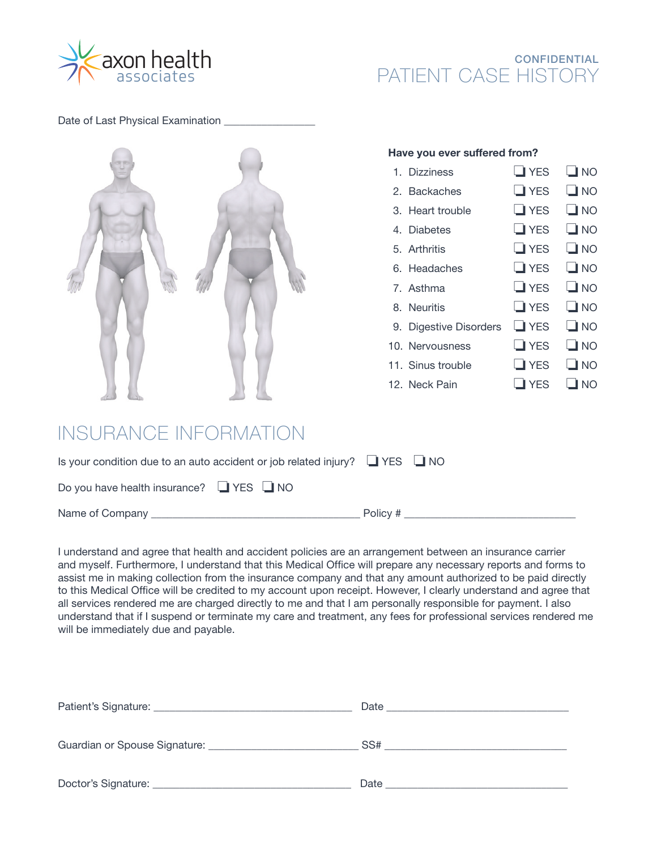

#### **CONFIDENTIAL** PATIENT CASE HISTORY

Date of Last Physical Examination



#### **Have you ever suffered from?**

| 1. Dizziness           | $\Box$ YES | $\Box$ NO    |
|------------------------|------------|--------------|
| 2. Backaches           | $\Box$ YES | $\Box$ NO    |
| 3. Heart trouble       | $\Box$ YES | $\Box$ NO    |
| 4. Diabetes            | $\Box$ YES | $\square$ NO |
| 5. Arthritis           | $\Box$ YES | $\Box$ NO    |
| 6. Headaches           | $\Box$ YES | $\Box$ NO    |
| 7. Asthma              | $\Box$ YES | $\square$ NO |
| 8. Neuritis            | $\Box$ YES | $\square$ NO |
| 9. Digestive Disorders | $\Box$ YES | $\Box$ NO    |
| 10. Nervousness        | $\Box$ YES | $\square$ NO |
| 11. Sinus trouble      | $\Box$ YES | $\square$ NO |
| 12. Neck Pain          | <b>YES</b> | <b>NO</b>    |

# INSURANCE INFORMATION

| Is your condition due to an auto accident or job related injury? $\Box$ YES $\Box$ NO |          |
|---------------------------------------------------------------------------------------|----------|
| Do you have health insurance? $\Box$ YES $\Box$ NO                                    |          |
| Name of Company                                                                       | Policy # |

I understand and agree that health and accident policies are an arrangement between an insurance carrier and myself. Furthermore, I understand that this Medical Office will prepare any necessary reports and forms to assist me in making collection from the insurance company and that any amount authorized to be paid directly to this Medical Office will be credited to my account upon receipt. However, I clearly understand and agree that all services rendered me are charged directly to me and that I am personally responsible for payment. I also understand that if I suspend or terminate my care and treatment, any fees for professional services rendered me will be immediately due and payable.

|                     | Date<br><u> 1980 - Jan Barbarat, martin da shekara 1980 - Ang Barbarat ng Barbarat ng Barbarat ng Barbarat ng Barbarat</u> |
|---------------------|----------------------------------------------------------------------------------------------------------------------------|
|                     | SS#                                                                                                                        |
| Doctor's Signature: | Date                                                                                                                       |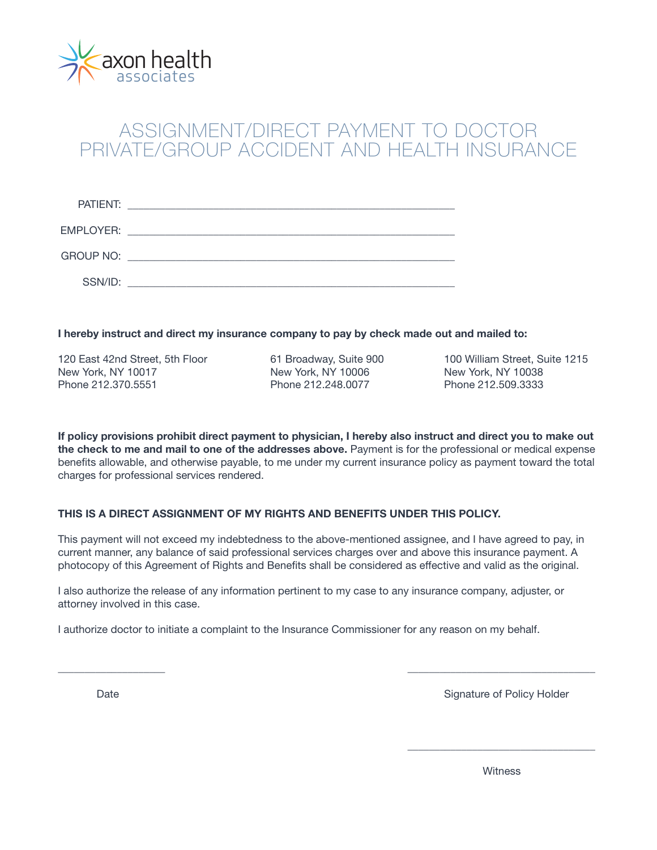

## ASSIGNMENT/DIRECT PAYMENT TO DOCTOR PRIVATE/GROUP ACCIDENT AND HEALTH INSURANCE

| PATIENT:         | <u> 1980 - Jan Barbara, martxa al II-lea (h. 1980).</u>                                                             |
|------------------|---------------------------------------------------------------------------------------------------------------------|
| EMPLOYER:        | <u> 1989 - Jan Stein Stein, mars an deus Amerikaanse komme van de Fryske komme om de foarmen in de Fryske komme</u> |
| <b>GROUP NO:</b> |                                                                                                                     |
| SSN/ID:          |                                                                                                                     |

**I hereby instruct and direct my insurance company to pay by check made out and mailed to:**

120 East 42nd Street, 5th Floor 61 Broadway, Suite 900 100 William Street, Suite 1215 New York, NY 10017 New York, NY 10006 New York, NY 10038 Phone 212.370.5551 Phone 212.248.0077 Phone 212.509.3333

**If policy provisions prohibit direct payment to physician, I hereby also instruct and direct you to make out the check to me and mail to one of the addresses above.** Payment is for the professional or medical expense benefits allowable, and otherwise payable, to me under my current insurance policy as payment toward the total charges for professional services rendered.

#### **THIS IS A DIRECT ASSIGNMENT OF MY RIGHTS AND BENEFITS UNDER THIS POLICY.**

This payment will not exceed my indebtedness to the above-mentioned assignee, and I have agreed to pay, in current manner, any balance of said professional services charges over and above this insurance payment. A photocopy of this Agreement of Rights and Benefits shall be considered as effective and valid as the original.

\_\_\_\_\_\_\_\_\_\_\_\_\_\_\_\_\_\_\_\_ \_\_\_\_\_\_\_\_\_\_\_\_\_\_\_\_\_\_\_\_\_\_\_\_\_\_\_\_\_\_\_\_\_\_\_

 $\overline{\phantom{a}}$  , and the contract of the contract of the contract of the contract of the contract of the contract of the contract of the contract of the contract of the contract of the contract of the contract of the contrac

I also authorize the release of any information pertinent to my case to any insurance company, adjuster, or attorney involved in this case.

I authorize doctor to initiate a complaint to the Insurance Commissioner for any reason on my behalf.

Date **Signature of Policy Holder** Signature of Policy Holder

witness and the control of the control of the control of the control of the control of the control of the control of the control of the control of the control of the control of the control of the control of the control of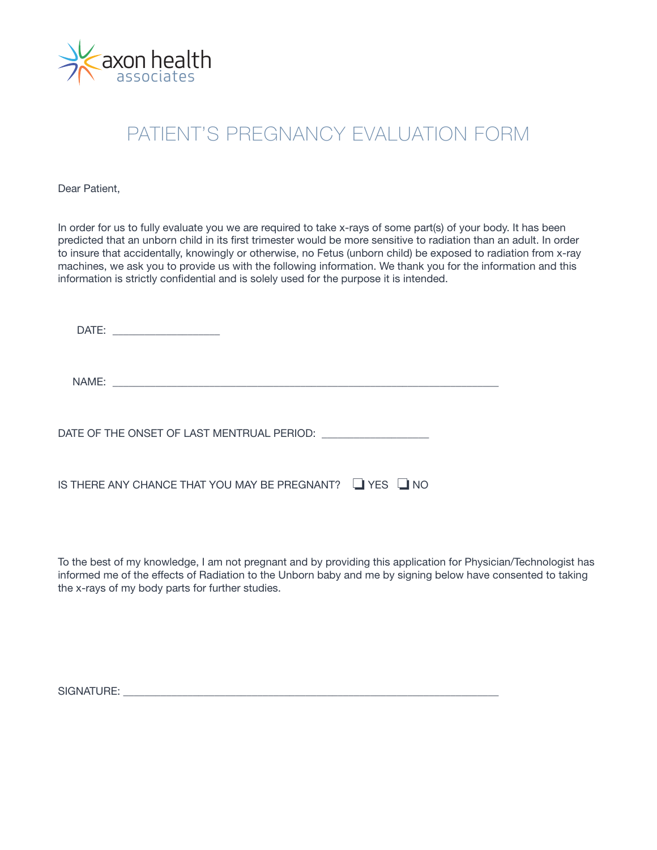

## PATIENT'S PREGNANCY EVALUATION FORM

Dear Patient,

In order for us to fully evaluate you we are required to take x-rays of some part(s) of your body. It has been predicted that an unborn child in its first trimester would be more sensitive to radiation than an adult. In order to insure that accidentally, knowingly or otherwise, no Fetus (unborn child) be exposed to radiation from x-ray machines, we ask you to provide us with the following information. We thank you for the information and this information is strictly confidential and is solely used for the purpose it is intended.

| DATE:<br><u> 1980 - John Stein, mars and de Britannie (b. 19</u> |  |
|------------------------------------------------------------------|--|
|                                                                  |  |
|                                                                  |  |
| IS THERE ANY CHANCE THAT YOU MAY BE PREGNANT? L▌YES L▌NO         |  |

To the best of my knowledge, I am not pregnant and by providing this application for Physician/Technologist has informed me of the effects of Radiation to the Unborn baby and me by signing below have consented to taking the x-rays of my body parts for further studies.

SIGNATURE: